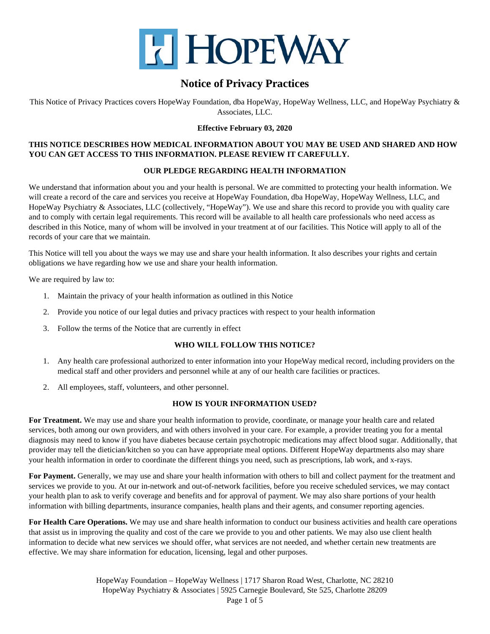

This Notice of Privacy Practices covers HopeWay Foundation, dba HopeWay, HopeWay Wellness, LLC, and HopeWay Psychiatry & Associates, LLC.

## **Effective February 03, 2020**

## **THIS NOTICE DESCRIBES HOW MEDICAL INFORMATION ABOUT YOU MAY BE USED AND SHARED AND HOW YOU CAN GET ACCESS TO THIS INFORMATION. PLEASE REVIEW IT CAREFULLY.**

## **OUR PLEDGE REGARDING HEALTH INFORMATION**

We understand that information about you and your health is personal. We are committed to protecting your health information. We will create a record of the care and services you receive at HopeWay Foundation, dba HopeWay, HopeWay Wellness, LLC, and HopeWay Psychiatry & Associates, LLC (collectively, "HopeWay"). We use and share this record to provide you with quality care and to comply with certain legal requirements. This record will be available to all health care professionals who need access as described in this Notice, many of whom will be involved in your treatment at of our facilities. This Notice will apply to all of the records of your care that we maintain.

This Notice will tell you about the ways we may use and share your health information. It also describes your rights and certain obligations we have regarding how we use and share your health information.

We are required by law to:

- 1. Maintain the privacy of your health information as outlined in this Notice
- 2. Provide you notice of our legal duties and privacy practices with respect to your health information
- 3. Follow the terms of the Notice that are currently in effect

### **WHO WILL FOLLOW THIS NOTICE?**

- 1. Any health care professional authorized to enter information into your HopeWay medical record, including providers on the medical staff and other providers and personnel while at any of our health care facilities or practices.
- 2. All employees, staff, volunteers, and other personnel.

### **HOW IS YOUR INFORMATION USED?**

**For Treatment.** We may use and share your health information to provide, coordinate, or manage your health care and related services, both among our own providers, and with others involved in your care. For example, a provider treating you for a mental diagnosis may need to know if you have diabetes because certain psychotropic medications may affect blood sugar. Additionally, that provider may tell the dietician/kitchen so you can have appropriate meal options. Different HopeWay departments also may share your health information in order to coordinate the different things you need, such as prescriptions, lab work, and x-rays.

For Payment. Generally, we may use and share your health information with others to bill and collect payment for the treatment and services we provide to you. At our in-network and out-of-network facilities, before you receive scheduled services, we may contact your health plan to ask to verify coverage and benefits and for approval of payment. We may also share portions of your health information with billing departments, insurance companies, health plans and their agents, and consumer reporting agencies.

**For Health Care Operations.** We may use and share health information to conduct our business activities and health care operations that assist us in improving the quality and cost of the care we provide to you and other patients. We may also use client health information to decide what new services we should offer, what services are not needed, and whether certain new treatments are effective. We may share information for education, licensing, legal and other purposes.

> HopeWay Foundation – HopeWay Wellness | 1717 Sharon Road West, Charlotte, NC 28210 HopeWay Psychiatry & Associates | 5925 Carnegie Boulevard, Ste 525, Charlotte 28209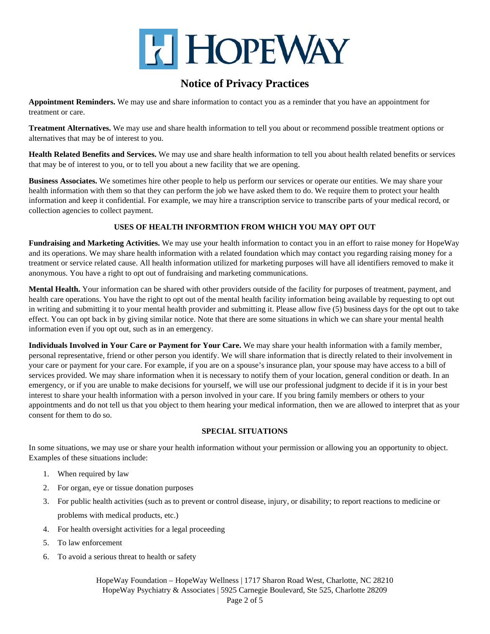

**Appointment Reminders.** We may use and share information to contact you as a reminder that you have an appointment for treatment or care.

**Treatment Alternatives.** We may use and share health information to tell you about or recommend possible treatment options or alternatives that may be of interest to you.

**Health Related Benefits and Services.** We may use and share health information to tell you about health related benefits or services that may be of interest to you, or to tell you about a new facility that we are opening.

**Business Associates.** We sometimes hire other people to help us perform our services or operate our entities. We may share your health information with them so that they can perform the job we have asked them to do. We require them to protect your health information and keep it confidential. For example, we may hire a transcription service to transcribe parts of your medical record, or collection agencies to collect payment.

## **USES OF HEALTH INFORMTION FROM WHICH YOU MAY OPT OUT**

**Fundraising and Marketing Activities.** We may use your health information to contact you in an effort to raise money for HopeWay and its operations. We may share health information with a related foundation which may contact you regarding raising money for a treatment or service related cause. All health information utilized for marketing purposes will have all identifiers removed to make it anonymous. You have a right to opt out of fundraising and marketing communications.

**Mental Health.** Your information can be shared with other providers outside of the facility for purposes of treatment, payment, and health care operations. You have the right to opt out of the mental health facility information being available by requesting to opt out in writing and submitting it to your mental health provider and submitting it. Please allow five (5) business days for the opt out to take effect. You can opt back in by giving similar notice. Note that there are some situations in which we can share your mental health information even if you opt out, such as in an emergency.

**Individuals Involved in Your Care or Payment for Your Care.** We may share your health information with a family member, personal representative, friend or other person you identify. We will share information that is directly related to their involvement in your care or payment for your care. For example, if you are on a spouse's insurance plan, your spouse may have access to a bill of services provided. We may share information when it is necessary to notify them of your location, general condition or death. In an emergency, or if you are unable to make decisions for yourself, we will use our professional judgment to decide if it is in your best interest to share your health information with a person involved in your care. If you bring family members or others to your appointments and do not tell us that you object to them hearing your medical information, then we are allowed to interpret that as your consent for them to do so.

### **SPECIAL SITUATIONS**

In some situations, we may use or share your health information without your permission or allowing you an opportunity to object. Examples of these situations include:

- 1. When required by law
- 2. For organ, eye or tissue donation purposes
- 3. For public health activities (such as to prevent or control disease, injury, or disability; to report reactions to medicine or problems with medical products, etc.)
- 4. For health oversight activities for a legal proceeding
- 5. To law enforcement
- 6. To avoid a serious threat to health or safety

HopeWay Foundation – HopeWay Wellness | 1717 Sharon Road West, Charlotte, NC 28210 HopeWay Psychiatry & Associates | 5925 Carnegie Boulevard, Ste 525, Charlotte 28209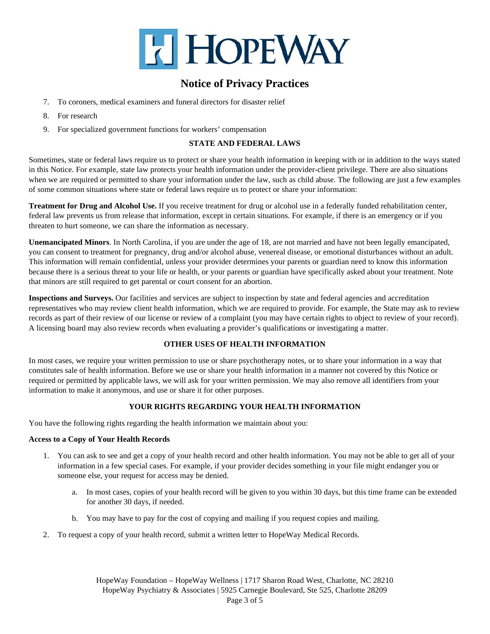

- 7. To coroners, medical examiners and funeral directors for disaster relief
- 8. For research
- 9. For specialized government functions for workers' compensation

## **STATE AND FEDERAL LAWS**

Sometimes, state or federal laws require us to protect or share your health information in keeping with or in addition to the ways stated in this Notice. For example, state law protects your health information under the provider-client privilege. There are also situations when we are required or permitted to share your information under the law, such as child abuse. The following are just a few examples of some common situations where state or federal laws require us to protect or share your information:

**Treatment for Drug and Alcohol Use.** If you receive treatment for drug or alcohol use in a federally funded rehabilitation center, federal law prevents us from release that information, except in certain situations. For example, if there is an emergency or if you threaten to hurt someone, we can share the information as necessary.

**Unemancipated Minors**. In North Carolina, if you are under the age of 18, are not married and have not been legally emancipated, you can consent to treatment for pregnancy, drug and/or alcohol abuse, venereal disease, or emotional disturbances without an adult. This information will remain confidential, unless your provider determines your parents or guardian need to know this information because there is a serious threat to your life or health, or your parents or guardian have specifically asked about your treatment. Note that minors are still required to get parental or court consent for an abortion.

**Inspections and Surveys.** Our facilities and services are subject to inspection by state and federal agencies and accreditation representatives who may review client health information, which we are required to provide. For example, the State may ask to review records as part of their review of our license or review of a complaint (you may have certain rights to object to review of your record). A licensing board may also review records when evaluating a provider's qualifications or investigating a matter.

## **OTHER USES OF HEALTH INFORMATION**

In most cases, we require your written permission to use or share psychotherapy notes, or to share your information in a way that constitutes sale of health information. Before we use or share your health information in a manner not covered by this Notice or required or permitted by applicable laws, we will ask for your written permission. We may also remove all identifiers from your information to make it anonymous, and use or share it for other purposes.

## **YOUR RIGHTS REGARDING YOUR HEALTH INFORMATION**

You have the following rights regarding the health information we maintain about you:

### **Access to a Copy of Your Health Records**

- 1. You can ask to see and get a copy of your health record and other health information. You may not be able to get all of your information in a few special cases. For example, if your provider decides something in your file might endanger you or someone else, your request for access may be denied.
	- a. In most cases, copies of your health record will be given to you within 30 days, but this time frame can be extended for another 30 days, if needed.
	- b. You may have to pay for the cost of copying and mailing if you request copies and mailing.
- 2. To request a copy of your health record, submit a written letter to HopeWay Medical Records.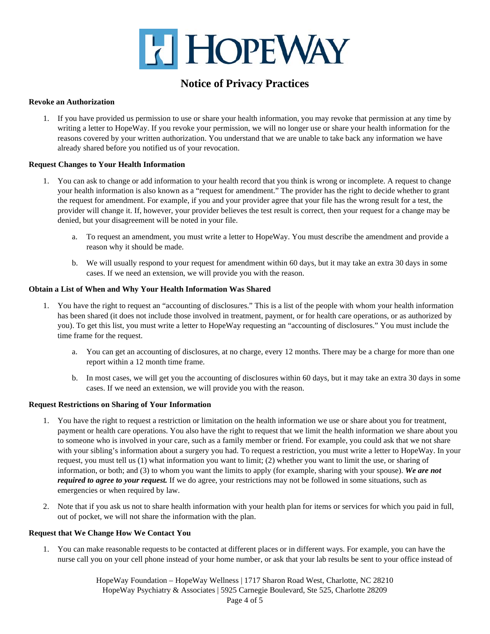

### **Revoke an Authorization**

1. If you have provided us permission to use or share your health information, you may revoke that permission at any time by writing a letter to HopeWay. If you revoke your permission, we will no longer use or share your health information for the reasons covered by your written authorization. You understand that we are unable to take back any information we have already shared before you notified us of your revocation.

#### **Request Changes to Your Health Information**

- 1. You can ask to change or add information to your health record that you think is wrong or incomplete. A request to change your health information is also known as a "request for amendment." The provider has the right to decide whether to grant the request for amendment. For example, if you and your provider agree that your file has the wrong result for a test, the provider will change it. If, however, your provider believes the test result is correct, then your request for a change may be denied, but your disagreement will be noted in your file.
	- a. To request an amendment, you must write a letter to HopeWay. You must describe the amendment and provide a reason why it should be made.
	- b. We will usually respond to your request for amendment within 60 days, but it may take an extra 30 days in some cases. If we need an extension, we will provide you with the reason.

#### **Obtain a List of When and Why Your Health Information Was Shared**

- 1. You have the right to request an "accounting of disclosures." This is a list of the people with whom your health information has been shared (it does not include those involved in treatment, payment, or for health care operations, or as authorized by you). To get this list, you must write a letter to HopeWay requesting an "accounting of disclosures." You must include the time frame for the request.
	- a. You can get an accounting of disclosures, at no charge, every 12 months. There may be a charge for more than one report within a 12 month time frame.
	- b. In most cases, we will get you the accounting of disclosures within 60 days, but it may take an extra 30 days in some cases. If we need an extension, we will provide you with the reason.

#### **Request Restrictions on Sharing of Your Information**

- 1. You have the right to request a restriction or limitation on the health information we use or share about you for treatment, payment or health care operations. You also have the right to request that we limit the health information we share about you to someone who is involved in your care, such as a family member or friend. For example, you could ask that we not share with your sibling's information about a surgery you had. To request a restriction, you must write a letter to HopeWay. In your request, you must tell us (1) what information you want to limit; (2) whether you want to limit the use, or sharing of information, or both; and (3) to whom you want the limits to apply (for example, sharing with your spouse). *We are not required to agree to your request.* If we do agree, your restrictions may not be followed in some situations, such as emergencies or when required by law.
- 2. Note that if you ask us not to share health information with your health plan for items or services for which you paid in full, out of pocket, we will not share the information with the plan.

#### **Request that We Change How We Contact You**

1. You can make reasonable requests to be contacted at different places or in different ways. For example, you can have the nurse call you on your cell phone instead of your home number, or ask that your lab results be sent to your office instead of

> HopeWay Foundation – HopeWay Wellness | 1717 Sharon Road West, Charlotte, NC 28210 HopeWay Psychiatry & Associates | 5925 Carnegie Boulevard, Ste 525, Charlotte 28209